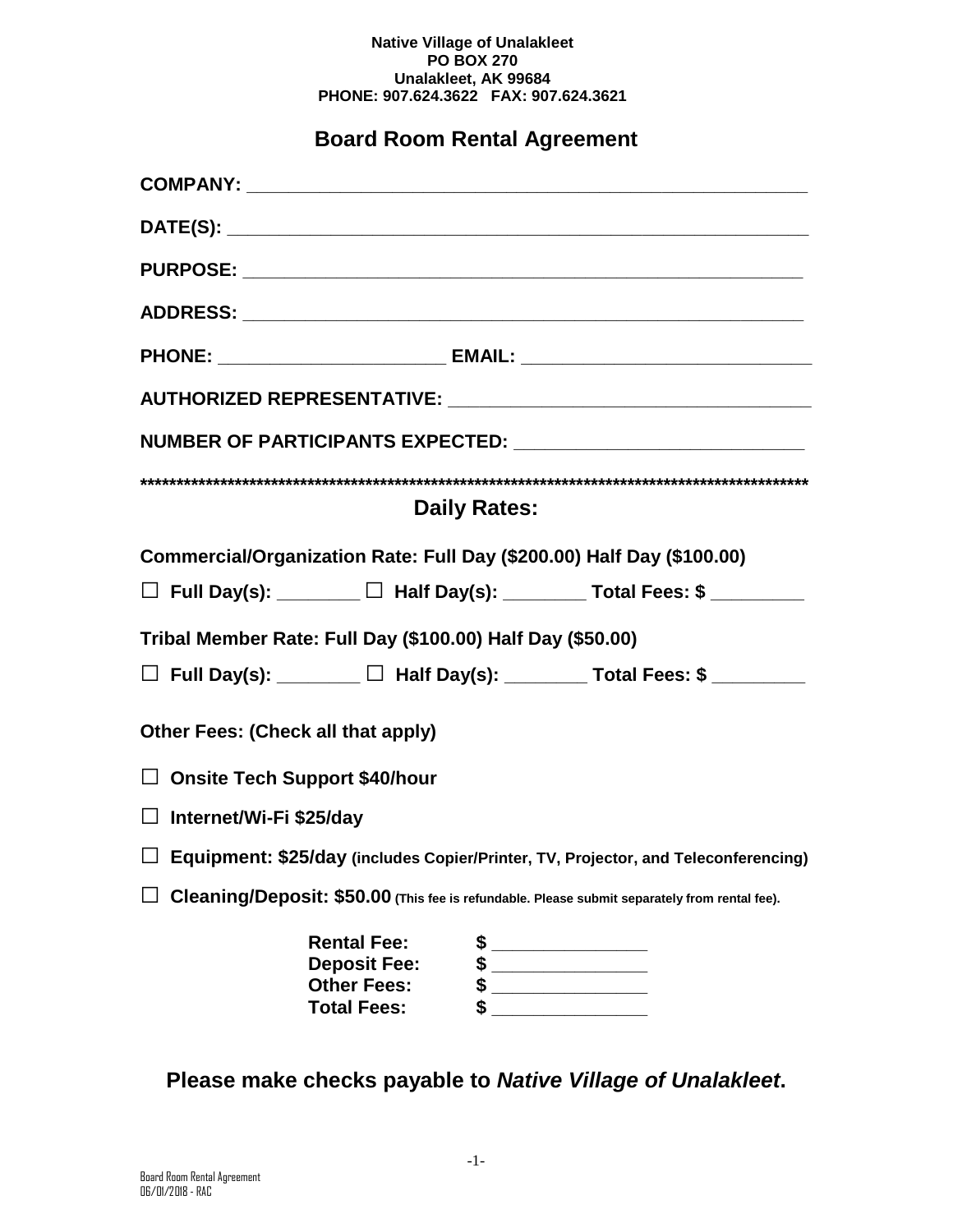#### **Native Village of Unalakleet PO BOX 270 Unalakleet, AK 99684 PHONE: 907.624.3622 FAX: 907.624.3621**

# **Board Room Rental Agreement**

|                                                            |                                           |                     | PHONE: _______________________________ EMAIL: __________________________________              |
|------------------------------------------------------------|-------------------------------------------|---------------------|-----------------------------------------------------------------------------------------------|
|                                                            |                                           |                     |                                                                                               |
|                                                            |                                           |                     | NUMBER OF PARTICIPANTS EXPECTED: _______________________________                              |
|                                                            |                                           |                     |                                                                                               |
|                                                            |                                           | <b>Daily Rates:</b> |                                                                                               |
|                                                            |                                           |                     | Commercial/Organization Rate: Full Day (\$200.00) Half Day (\$100.00)                         |
|                                                            |                                           |                     | $\Box$ Full Day(s): ________ $\Box$ Half Day(s): ________ Total Fees: \$ ________             |
| Tribal Member Rate: Full Day (\$100.00) Half Day (\$50.00) |                                           |                     |                                                                                               |
|                                                            |                                           |                     | $\Box$ Full Day(s): ________ $\Box$ Half Day(s): ________ Total Fees: \$ ________             |
| Other Fees: (Check all that apply)                         |                                           |                     |                                                                                               |
| □ Onsite Tech Support \$40/hour                            |                                           |                     |                                                                                               |
| □ Internet/Wi-Fi \$25/day                                  |                                           |                     |                                                                                               |
|                                                            |                                           |                     | □ Equipment: \$25/day (includes Copier/Printer, TV, Projector, and Teleconferencing)          |
|                                                            |                                           |                     | Cleaning/Deposit: \$50.00 (This fee is refundable. Please submit separately from rental fee). |
|                                                            | <b>Rental Fee:</b>                        | \$                  |                                                                                               |
|                                                            | <b>Deposit Fee:</b><br><b>Other Fees:</b> | \$<br>\$            |                                                                                               |
|                                                            | <b>Total Fees:</b>                        |                     |                                                                                               |

**Please make checks payable to** *Native Village of Unalakleet***.**